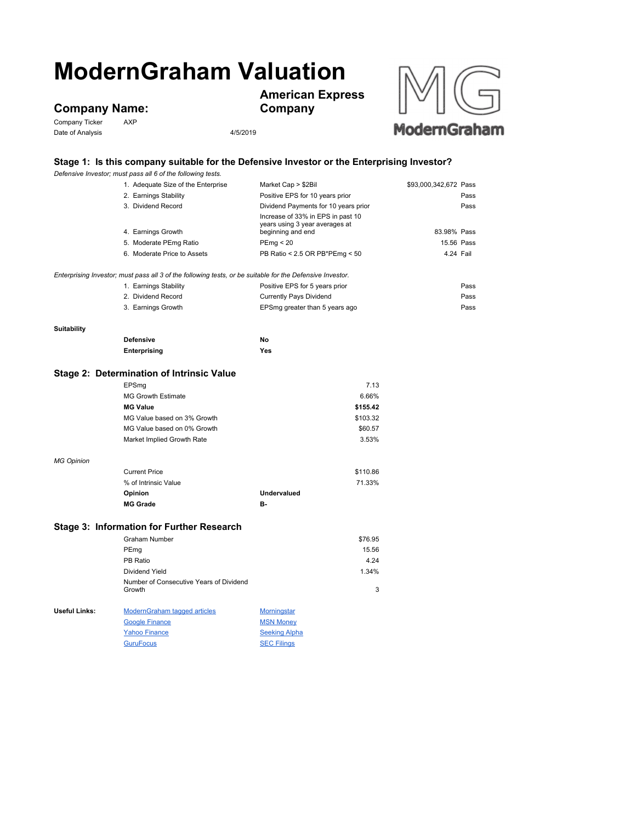# **ModernGraham Valuation**

## **Company Name:**<br>Company Ticker AXP

Company Ticker Date of Analysis 2001 2012 2014 2015/2019





### **Stage 1: Is this company suitable for the Defensive Investor or the Enterprising Investor?**

|                                                                                                           | Defensive Investor; must pass all 6 of the following tests. |                                                                                          |                       |  |  |
|-----------------------------------------------------------------------------------------------------------|-------------------------------------------------------------|------------------------------------------------------------------------------------------|-----------------------|--|--|
|                                                                                                           | 1. Adequate Size of the Enterprise                          | Market Cap > \$2Bil                                                                      | \$93,000,342,672 Pass |  |  |
|                                                                                                           | 2. Earnings Stability                                       | Positive EPS for 10 years prior                                                          | Pass                  |  |  |
|                                                                                                           | 3. Dividend Record                                          | Dividend Payments for 10 years prior                                                     | Pass                  |  |  |
|                                                                                                           | 4. Earnings Growth                                          | Increase of 33% in EPS in past 10<br>years using 3 year averages at<br>beginning and end | 83.98% Pass           |  |  |
|                                                                                                           | 5. Moderate PEmg Ratio                                      | PEmp < 20                                                                                | 15.56 Pass            |  |  |
|                                                                                                           | 6. Moderate Price to Assets                                 | PB Ratio < 2.5 OR PB*PEmg < 50                                                           | 4.24 Fail             |  |  |
|                                                                                                           |                                                             |                                                                                          |                       |  |  |
| Enterprising Investor; must pass all 3 of the following tests, or be suitable for the Defensive Investor. |                                                             |                                                                                          |                       |  |  |
|                                                                                                           | 1. Earnings Stability                                       | Positive EPS for 5 years prior                                                           | Pass                  |  |  |
|                                                                                                           | 2. Dividend Record                                          | <b>Currently Pays Dividend</b>                                                           | Pass                  |  |  |
|                                                                                                           | 3. Earnings Growth                                          | EPSmg greater than 5 years ago                                                           | Pass                  |  |  |
| <b>Suitability</b>                                                                                        |                                                             |                                                                                          |                       |  |  |
|                                                                                                           | <b>Defensive</b>                                            | No                                                                                       |                       |  |  |
|                                                                                                           | Enterprising                                                | Yes                                                                                      |                       |  |  |
|                                                                                                           |                                                             |                                                                                          |                       |  |  |
|                                                                                                           | Stage 2: Determination of Intrinsic Value                   |                                                                                          |                       |  |  |
|                                                                                                           | EPSmg                                                       | 7.13                                                                                     |                       |  |  |
|                                                                                                           | <b>MG Growth Estimate</b>                                   | 6.66%                                                                                    |                       |  |  |
|                                                                                                           | <b>MG Value</b>                                             | \$155.42                                                                                 |                       |  |  |
|                                                                                                           | MG Value based on 3% Growth                                 | \$103.32                                                                                 |                       |  |  |
|                                                                                                           | MG Value based on 0% Growth                                 | \$60.57                                                                                  |                       |  |  |
|                                                                                                           | Market Implied Growth Rate                                  | 3.53%                                                                                    |                       |  |  |
| <b>MG Opinion</b>                                                                                         |                                                             |                                                                                          |                       |  |  |
|                                                                                                           | <b>Current Price</b>                                        | \$110.86                                                                                 |                       |  |  |
|                                                                                                           | % of Intrinsic Value                                        | 71.33%                                                                                   |                       |  |  |
|                                                                                                           | Opinion                                                     | <b>Undervalued</b>                                                                       |                       |  |  |
|                                                                                                           | <b>MG Grade</b>                                             | <b>B-</b>                                                                                |                       |  |  |
| Stage 3: Information for Further Research                                                                 |                                                             |                                                                                          |                       |  |  |
|                                                                                                           | <b>Graham Number</b>                                        | \$76.95                                                                                  |                       |  |  |
|                                                                                                           |                                                             | 15.56                                                                                    |                       |  |  |
|                                                                                                           | PEmg<br>PB Ratio                                            | 4.24                                                                                     |                       |  |  |
|                                                                                                           |                                                             |                                                                                          |                       |  |  |
|                                                                                                           | Dividend Yield<br>Number of Consecutive Years of Dividend   | 1.34%                                                                                    |                       |  |  |
|                                                                                                           | Growth                                                      | 3                                                                                        |                       |  |  |
| Useful Links:                                                                                             | <b>ModernGraham tagged articles</b>                         | <b>Morningstar</b>                                                                       |                       |  |  |
|                                                                                                           | <b>Google Finance</b>                                       | <b>MSN Money</b>                                                                         |                       |  |  |
|                                                                                                           | <b>Yahoo Finance</b>                                        | <b>Seeking Alpha</b>                                                                     |                       |  |  |
|                                                                                                           | <b>GuruFocus</b>                                            | <b>SEC Filings</b>                                                                       |                       |  |  |
|                                                                                                           |                                                             |                                                                                          |                       |  |  |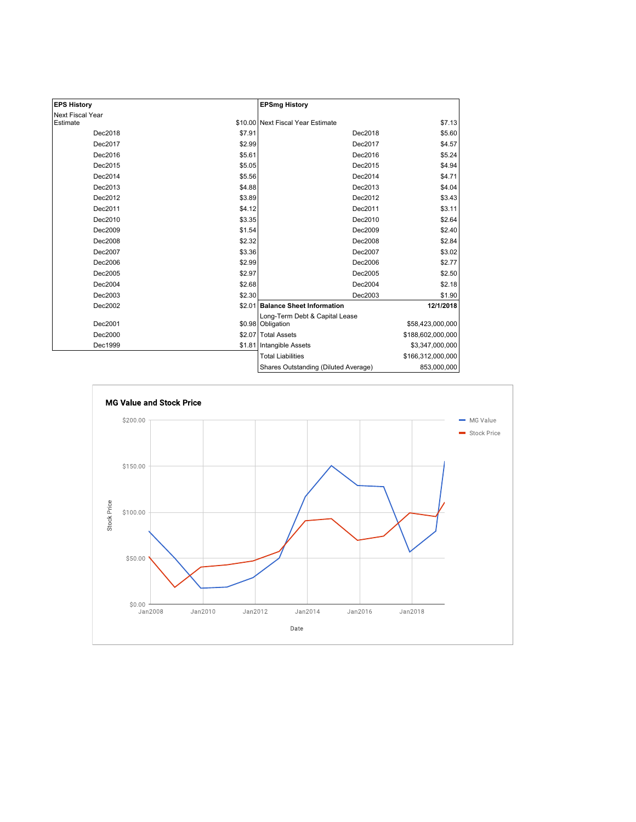| <b>EPS History</b> |        | <b>EPSmg History</b>                                |                   |
|--------------------|--------|-----------------------------------------------------|-------------------|
| Next Fiscal Year   |        |                                                     |                   |
| Estimate           |        | \$10.00 Next Fiscal Year Estimate                   | \$7.13            |
| Dec2018            | \$7.91 | Dec2018                                             | \$5.60            |
| Dec2017            | \$2.99 | Dec2017                                             | \$4.57            |
| Dec2016            | \$5.61 | Dec2016                                             | \$5.24            |
| Dec2015            | \$5.05 | Dec2015                                             | \$4.94            |
| Dec2014            | \$5.56 | Dec2014                                             | \$4.71            |
| Dec2013            | \$4.88 | Dec2013                                             | \$4.04            |
| Dec2012            | \$3.89 | Dec2012                                             | \$3.43            |
| Dec2011            | \$4.12 | Dec2011                                             | \$3.11            |
| Dec2010            | \$3.35 | Dec2010                                             | \$2.64            |
| Dec2009            | \$1.54 | Dec2009                                             | \$2.40            |
| Dec2008            | \$2.32 | Dec2008                                             | \$2.84            |
| Dec2007            | \$3.36 | Dec2007                                             | \$3.02            |
| Dec2006            | \$2.99 | Dec2006                                             | \$2.77            |
| Dec2005            | \$2.97 | Dec2005                                             | \$2.50            |
| Dec2004            | \$2.68 | Dec2004                                             | \$2.18            |
| Dec2003            | \$2.30 | Dec2003                                             | \$1.90            |
| Dec2002            |        | \$2.01 Balance Sheet Information                    | 12/1/2018         |
| Dec2001            |        | Long-Term Debt & Capital Lease<br>\$0.98 Obligation | \$58,423,000,000  |
| Dec2000            |        | \$2.07 Total Assets                                 | \$188,602,000,000 |
| Dec1999            |        | \$1.81 Intangible Assets                            | \$3,347,000,000   |
|                    |        | <b>Total Liabilities</b>                            | \$166,312,000,000 |
|                    |        | Shares Outstanding (Diluted Average)                | 853,000,000       |